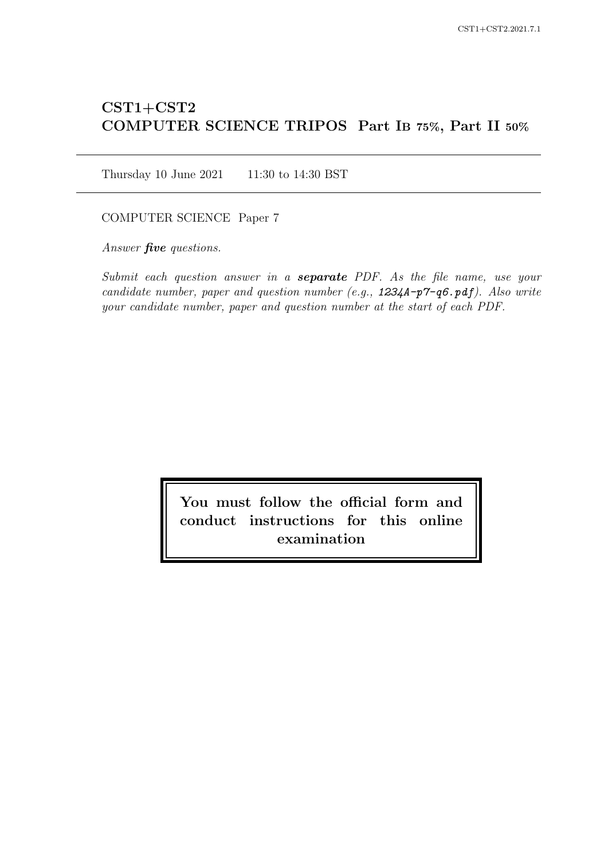# CST1+CST2 COMPUTER SCIENCE TRIPOS Part IB 75%, Part II 50%

Thursday 10 June 2021 11:30 to 14:30 BST

COMPUTER SCIENCE Paper 7

Answer *five* questions.

Submit each question answer in a **separate** PDF. As the file name, use your candidate number, paper and question number (e.g.,  $1234A-p7-q6.pdf$ ). Also write your candidate number, paper and question number at the start of each PDF.

> You must follow the official form and conduct instructions for this online examination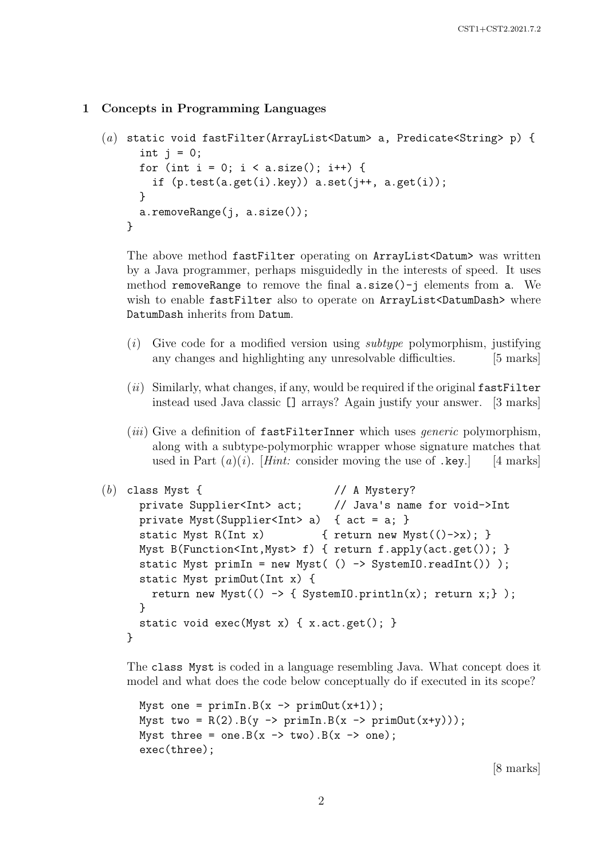## 1 Concepts in Programming Languages

```
(a) static void fastFilter(ArrayList<Datum> a, Predicate<String> p) {
      int j = 0;
      for (int i = 0; i < a.size(); i++) {
        if (p.test(a.get(i).key)) a.set(j++, a.get(i));}
      a.removeRange(j, a.size());
    }
```
The above method fastFilter operating on ArrayList<Datum> was written by a Java programmer, perhaps misguidedly in the interests of speed. It uses method removeRange to remove the final  $a.size()$ -j elements from  $a$ . We wish to enable fastFilter also to operate on ArrayList<DatumDash> where DatumDash inherits from Datum.

- $(i)$  Give code for a modified version using *subtype* polymorphism, justifying any changes and highlighting any unresolvable difficulties. [5 marks]
- $(ii)$  Similarly, what changes, if any, would be required if the original fastFilter instead used Java classic [] arrays? Again justify your answer. [3 marks]
- (*iii*) Give a definition of  $f$ astFilterInner which uses *generic* polymorphism, along with a subtype-polymorphic wrapper whose signature matches that used in Part  $(a)(i)$ . [Hint: consider moving the use of .key.] [4 marks]

```
(b) class Myst { // A Mystery?
     private Supplier<Int> act; // Java's name for void->Int
     private Myst(Supplier<Int> a) { act = a; }
     static Myst R(Int x) \{ return new Myst(()->x); \}Myst B(Function<Int,Myst> f) { return f.apply(act.get()); }
     static Myst primIn = new Myst(() -> SystemIO.readInt()));
     static Myst primOut(Int x) {
       return new Myst(() \rightarrow { SystemIO.println(x); return x; } );
     }
     static void exec(Myst x) { x. act.get(); }
   }
```
The class Myst is coded in a language resembling Java. What concept does it model and what does the code below conceptually do if executed in its scope?

```
Myst one = primIn.B(x -> primOut(x+1));Myst two = R(2) . B(y \rightarrow primIn.B(x \rightarrow primOut(x+y)));
Myst three = one. B(x \rightarrow two). B(x \rightarrow one);
exec(three);
```
[8 marks]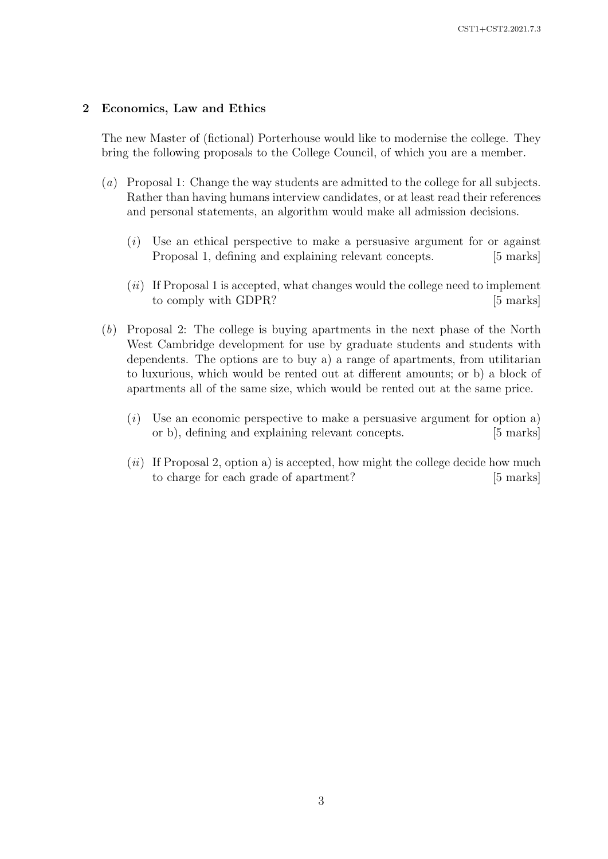## 2 Economics, Law and Ethics

The new Master of (fictional) Porterhouse would like to modernise the college. They bring the following proposals to the College Council, of which you are a member.

- (a) Proposal 1: Change the way students are admitted to the college for all subjects. Rather than having humans interview candidates, or at least read their references and personal statements, an algorithm would make all admission decisions.
	- (i) Use an ethical perspective to make a persuasive argument for or against Proposal 1, defining and explaining relevant concepts. [5 marks]
	- $(ii)$  If Proposal 1 is accepted, what changes would the college need to implement to comply with GDPR? [5 marks]
- (b) Proposal 2: The college is buying apartments in the next phase of the North West Cambridge development for use by graduate students and students with dependents. The options are to buy a) a range of apartments, from utilitarian to luxurious, which would be rented out at different amounts; or b) a block of apartments all of the same size, which would be rented out at the same price.
	- $(i)$  Use an economic perspective to make a persuasive argument for option a) or b), defining and explaining relevant concepts. [5 marks]
	- $(ii)$  If Proposal 2, option a) is accepted, how might the college decide how much to charge for each grade of apartment? [5 marks]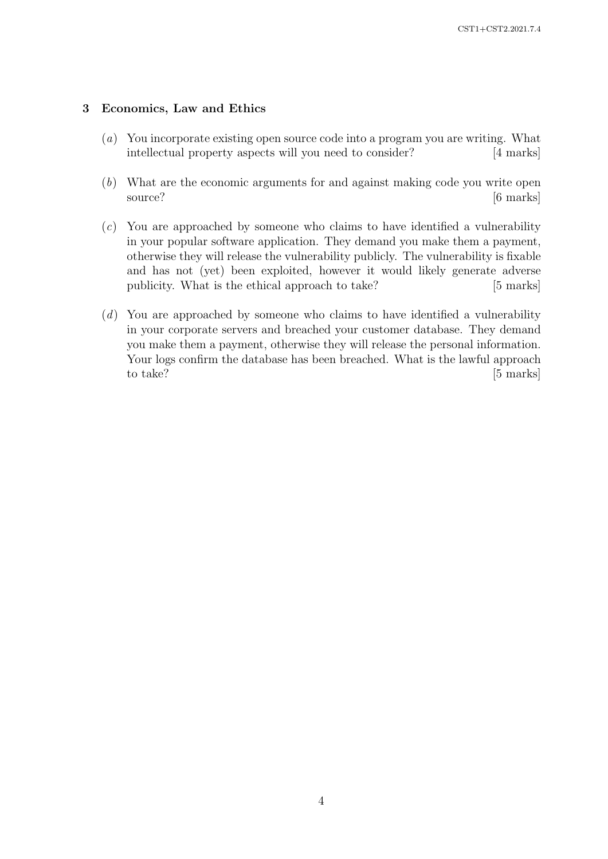## 3 Economics, Law and Ethics

- (a) You incorporate existing open source code into a program you are writing. What intellectual property aspects will you need to consider? [4 marks]
- (b) What are the economic arguments for and against making code you write open source? [6 marks]
- (c) You are approached by someone who claims to have identified a vulnerability in your popular software application. They demand you make them a payment, otherwise they will release the vulnerability publicly. The vulnerability is fixable and has not (yet) been exploited, however it would likely generate adverse publicity. What is the ethical approach to take? [5 marks]
- (d) You are approached by someone who claims to have identified a vulnerability in your corporate servers and breached your customer database. They demand you make them a payment, otherwise they will release the personal information. Your logs confirm the database has been breached. What is the lawful approach to take? [5 marks]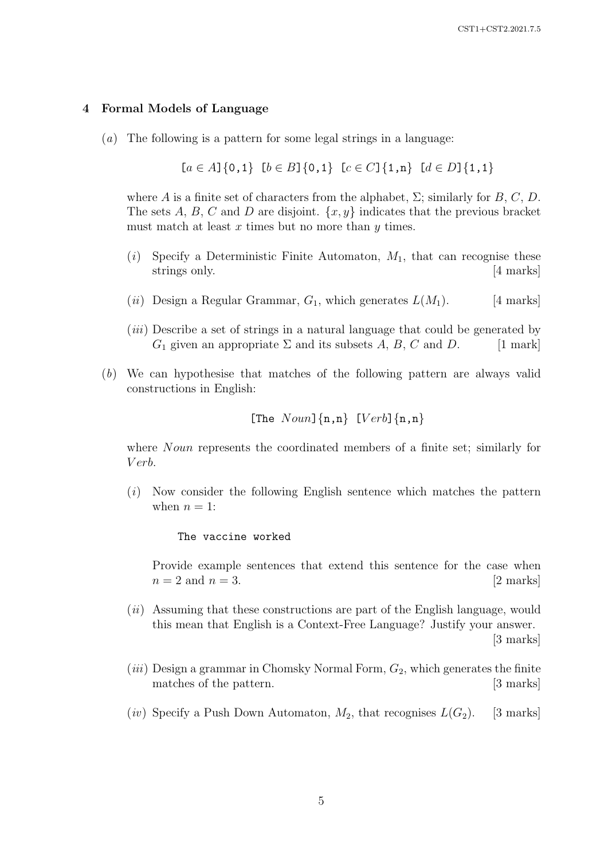#### 4 Formal Models of Language

(a) The following is a pattern for some legal strings in a language:

$$
[a \in A]
$$
 {0,1}  $[b \in B]$  {0,1}  $[c \in C]$  {1,n}  $[d \in D]$  {1,1}

where A is a finite set of characters from the alphabet,  $\Sigma$ ; similarly for B, C, D. The sets A, B, C and D are disjoint.  $\{x, y\}$  indicates that the previous bracket must match at least  $x$  times but no more than  $y$  times.

- (i) Specify a Deterministic Finite Automaton,  $M_1$ , that can recognise these strings only. [4 marks] and  $\frac{4}{3}$  marks]
- (*ii*) Design a Regular Grammar,  $G_1$ , which generates  $L(M_1)$ . [4 marks]
- (*iii*) Describe a set of strings in a natural language that could be generated by  $G_1$  given an appropriate  $\Sigma$  and its subsets  $A, B, C$  and  $D.$  [1 mark]
- (b) We can hypothesise that matches of the following pattern are always valid constructions in English:

[The 
$$
Noun
$$
] {n, n} [Verb] {n, n}

where *Noun* represents the coordinated members of a finite set; similarly for V erb.

(i) Now consider the following English sentence which matches the pattern when  $n = 1$ :

#### The vaccine worked

Provide example sentences that extend this sentence for the case when  $n = 2$  and  $n = 3$ . [2 marks]

- $(ii)$  Assuming that these constructions are part of the English language, would this mean that English is a Context-Free Language? Justify your answer. [3 marks]
- (*iii*) Design a grammar in Chomsky Normal Form,  $G_2$ , which generates the finite matches of the pattern. [3 marks]
- (iv) Specify a Push Down Automaton,  $M_2$ , that recognises  $L(G_2)$ . [3 marks]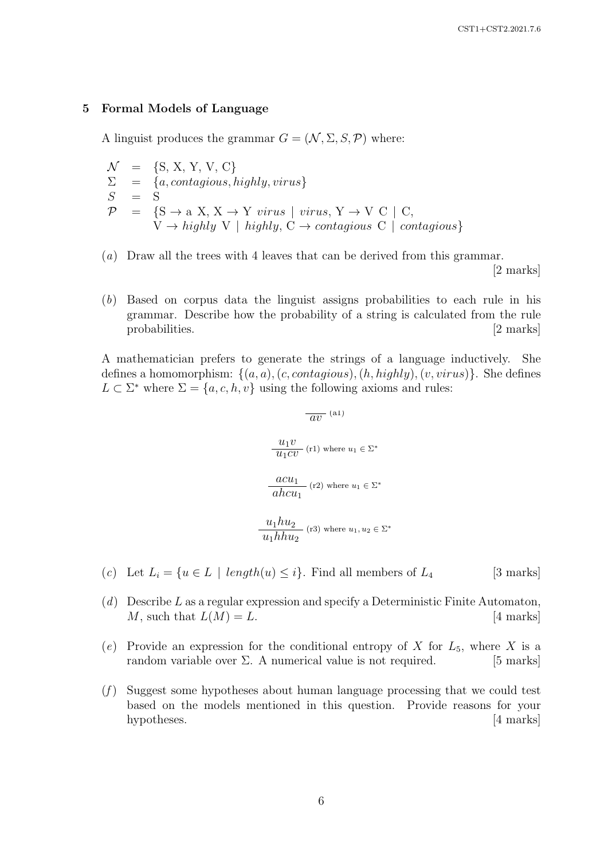#### 5 Formal Models of Language

A linguist produces the grammar  $G = (\mathcal{N}, \Sigma, S, \mathcal{P})$  where:

 $\mathcal{N}$  = {S, X, Y, V, C}  $\Sigma = \{a, contagious, highly, virus\}$  $\begin{array}{rcl}\n\Sigma & = & \{a \\
S & = & S\n\end{array}$  $\mathcal{P} = \{S \rightarrow a \ X, X \rightarrow Y \ \text{virus} \mid \text{virus}, Y \rightarrow V \ C \mid C,$  $V \rightarrow$  highly V | highly,  $C \rightarrow$  contagious C | contagious}

(a) Draw all the trees with 4 leaves that can be derived from this grammar.

[2 marks]

(b) Based on corpus data the linguist assigns probabilities to each rule in his grammar. Describe how the probability of a string is calculated from the rule probabilities. [2 marks]

A mathematician prefers to generate the strings of a language inductively. She defines a homomorphism:  $\{(a, a), (c, contains), (h, highly), (v, virus)\}.$  She defines  $L \subset \Sigma^*$  where  $\Sigma = \{a, c, h, v\}$  using the following axioms and rules:

$$
\overline{av} \quad (a1)
$$
\n
$$
\frac{u_1 v}{u_1 c v} \quad (r1) \text{ where } u_1 \in \Sigma^*
$$
\n
$$
\frac{acu_1}{abcu_1} \quad (r2) \text{ where } u_1 \in \Sigma^*
$$
\n
$$
\frac{u_1 h u_2}{u_1 h h u_2} \quad (r3) \text{ where } u_1, u_2 \in \Sigma^*
$$

(c) Let  $L_i = \{u \in L \mid length(u) \leq i\}$ . Find all members of  $L_4$  [3 marks]

- $(d)$  Describe L as a regular expression and specify a Deterministic Finite Automaton, M, such that  $L(M) = L$ . [4 marks]
- (e) Provide an expression for the conditional entropy of X for  $L_5$ , where X is a random variable over  $\Sigma$ . A numerical value is not required. [5 marks]
- $(f)$  Suggest some hypotheses about human language processing that we could test based on the models mentioned in this question. Provide reasons for your hypotheses. [4 marks]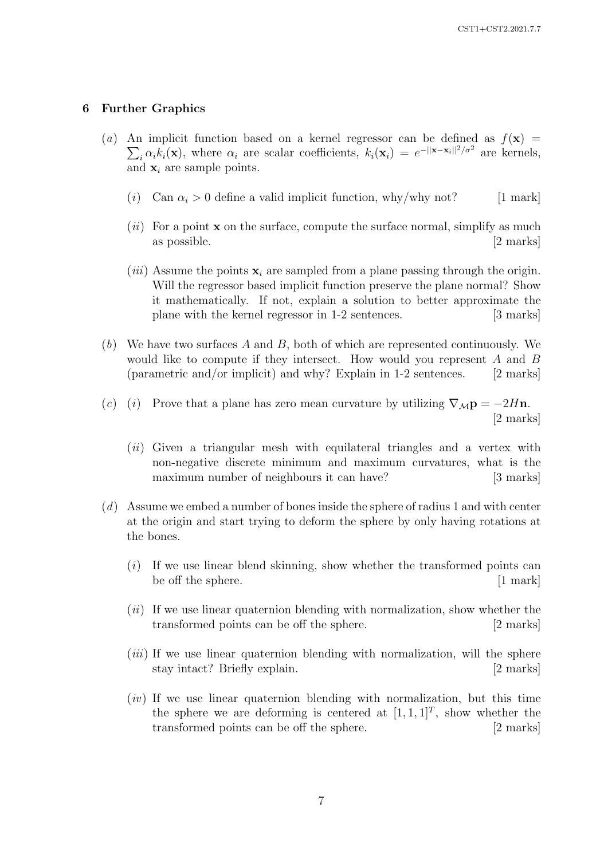#### 6 Further Graphics

- (a) An implicit function based on a kernel regressor can be defined as  $f(\mathbf{x}) =$  $\sum_i \alpha_i k_i(\mathbf{x})$ , where  $\alpha_i$  are scalar coefficients,  $k_i(\mathbf{x}_i) = e^{-\|\mathbf{x} - \mathbf{x}_i\|^2/\sigma^2}$  are kernels, and  $\mathbf{x}_i$  are sample points.
	- (i) Can  $\alpha_i > 0$  define a valid implicit function, why/why not? [1 mark]
	- $(ii)$  For a point **x** on the surface, compute the surface normal, simplify as much as possible. [2 marks]
	- (*iii*) Assume the points  $\mathbf{x}_i$  are sampled from a plane passing through the origin. Will the regressor based implicit function preserve the plane normal? Show it mathematically. If not, explain a solution to better approximate the plane with the kernel regressor in 1-2 sentences. [3 marks]
- $(b)$  We have two surfaces A and B, both of which are represented continuously. We would like to compute if they intersect. How would you represent A and B (parametric and/or implicit) and why? Explain in 1-2 sentences. [2 marks]
- (c) (i) Prove that a plane has zero mean curvature by utilizing  $\nabla_M \mathbf{p} = -2H\mathbf{n}$ . [2 marks]
	- $(ii)$  Given a triangular mesh with equilateral triangles and a vertex with non-negative discrete minimum and maximum curvatures, what is the maximum number of neighbours it can have? [3 marks]
- (d) Assume we embed a number of bones inside the sphere of radius 1 and with center at the origin and start trying to deform the sphere by only having rotations at the bones.
	- $(i)$  If we use linear blend skinning, show whether the transformed points can be off the sphere. [1 mark]
	- $(ii)$  If we use linear quaternion blending with normalization, show whether the transformed points can be off the sphere. [2 marks]
	- *(iii)* If we use linear quaternion blending with normalization, will the sphere stay intact? Briefly explain. [2 marks]
	- $(iv)$  If we use linear quaternion blending with normalization, but this time the sphere we are deforming is centered at  $[1, 1, 1]^T$ , show whether the transformed points can be off the sphere. [2 marks]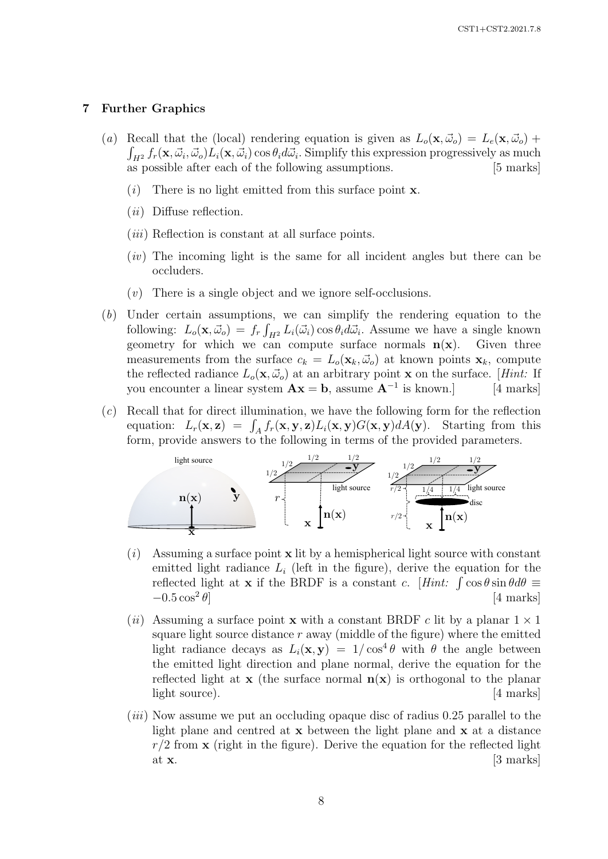#### 7 Further Graphics

- (a) Recall that the (local) rendering equation is given as  $L_o(\mathbf{x}, \vec{\omega}_o) = L_e(\mathbf{x}, \vec{\omega}_o) +$  $\int_{H^2} f_r(\mathbf{x}, \vec{\omega}_i, \vec{\omega}_o) L_i(\mathbf{x}, \vec{\omega}_i) \cos \theta_i d\vec{\omega}_i$ . Simplify this expression progressively as much as possible after each of the following assumptions. [5 marks]
	- (i) There is no light emitted from this surface point  $x$ .
	- $(ii)$  Diffuse reflection.
	- $(iii)$  Reflection is constant at all surface points.
	- (iv) The incoming light is the same for all incident angles but there can be occluders.
	- $(v)$  There is a single object and we ignore self-occlusions.
- (b) Under certain assumptions, we can simplify the rendering equation to the following:  $L_o(\mathbf{x}, \vec{\omega}_o) = f_r \int_{H^2} L_i(\vec{\omega}_i) \cos \theta_i d\vec{\omega}_i$ . Assume we have a single known geometry for which we can compute surface normals  $n(x)$ . Given three measurements from the surface  $c_k = L_o(\mathbf{x}_k, \vec{\omega}_o)$  at known points  $\mathbf{x}_k$ , compute the reflected radiance  $L_o(\mathbf{x}, \vec{\omega}_o)$  at an arbitrary point **x** on the surface. [*Hint:* If you encounter a linear system  $\mathbf{A}\mathbf{x} = \mathbf{b}$ , assume  $\mathbf{A}^{-1}$  is known.] [4 marks]
- $(c)$  Recall that for direct illumination, we have the following form for the reflection equation:  $L_r(\mathbf{x}, \mathbf{z}) = \int_A f_r(\mathbf{x}, \mathbf{y}, \mathbf{z}) L_i(\mathbf{x}, \mathbf{y}) G(\mathbf{x}, \mathbf{y}) dA(\mathbf{y})$ . Starting from this form, provide answers to the following in terms of the provided parameters.



- $(i)$  Assuming a surface point **x** lit by a hemispherical light source with constant emitted light radiance  $L_i$  (left in the figure), derive the equation for the reflected light at **x** if the BRDF is a constant c. [Hint:  $\int \cos \theta \sin \theta d\theta$  =  $-0.5 \cos^2 \theta$ [4 marks]
- (ii) Assuming a surface point **x** with a constant BRDF c lit by a planar  $1 \times 1$ square light source distance  $r$  away (middle of the figure) where the emitted light radiance decays as  $L_i(\mathbf{x}, \mathbf{y}) = 1/\cos^4 \theta$  with  $\theta$  the angle between the emitted light direction and plane normal, derive the equation for the reflected light at  $x$  (the surface normal  $n(x)$ ) is orthogonal to the planar light source). [4 marks]
- (iii) Now assume we put an occluding opaque disc of radius 0.25 parallel to the light plane and centred at  $x$  between the light plane and  $x$  at a distance  $r/2$  from  $\bf{x}$  (right in the figure). Derive the equation for the reflected light at  $\mathbf{x}$ . [3 marks]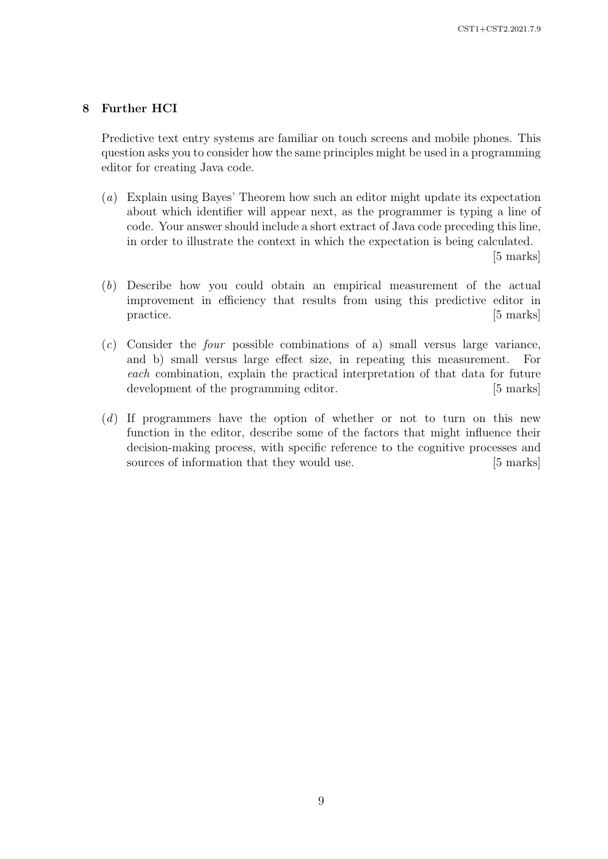## 8 Further HCI

Predictive text entry systems are familiar on touch screens and mobile phones. This question asks you to consider how the same principles might be used in a programming editor for creating Java code.

(a) Explain using Bayes' Theorem how such an editor might update its expectation about which identifier will appear next, as the programmer is typing a line of code. Your answer should include a short extract of Java code preceding this line, in order to illustrate the context in which the expectation is being calculated.

[5 marks]

- (b) Describe how you could obtain an empirical measurement of the actual improvement in efficiency that results from using this predictive editor in practice. [5 marks]
- (c) Consider the four possible combinations of a) small versus large variance, and b) small versus large effect size, in repeating this measurement. For each combination, explain the practical interpretation of that data for future development of the programming editor. [5 marks]
- (d) If programmers have the option of whether or not to turn on this new function in the editor, describe some of the factors that might influence their decision-making process, with specific reference to the cognitive processes and sources of information that they would use. [5 marks]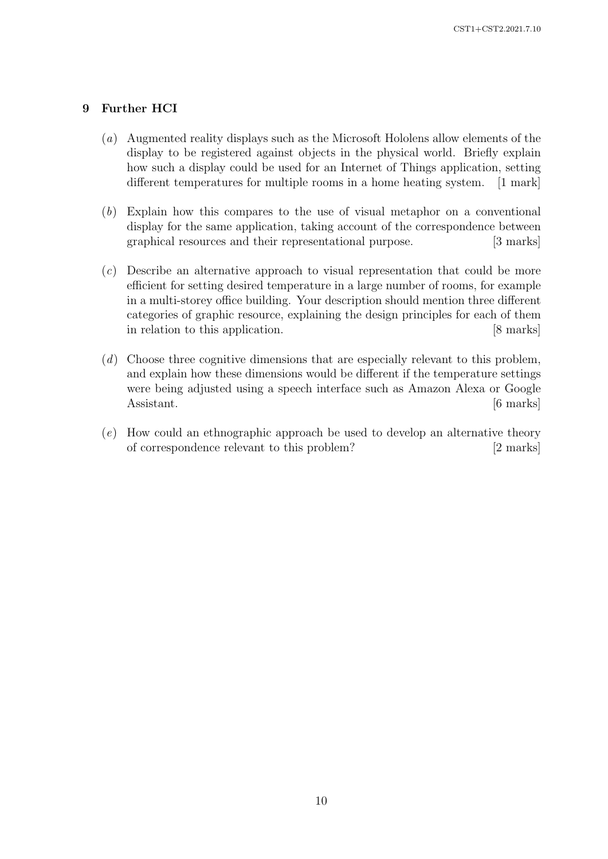# 9 Further HCI

- (a) Augmented reality displays such as the Microsoft Hololens allow elements of the display to be registered against objects in the physical world. Briefly explain how such a display could be used for an Internet of Things application, setting different temperatures for multiple rooms in a home heating system. [1 mark]
- (b) Explain how this compares to the use of visual metaphor on a conventional display for the same application, taking account of the correspondence between graphical resources and their representational purpose. [3 marks]
- (c) Describe an alternative approach to visual representation that could be more efficient for setting desired temperature in a large number of rooms, for example in a multi-storey office building. Your description should mention three different categories of graphic resource, explaining the design principles for each of them in relation to this application. [8 marks]
- (d) Choose three cognitive dimensions that are especially relevant to this problem, and explain how these dimensions would be different if the temperature settings were being adjusted using a speech interface such as Amazon Alexa or Google Assistant. [6 marks]
- (e) How could an ethnographic approach be used to develop an alternative theory of correspondence relevant to this problem? [2 marks]